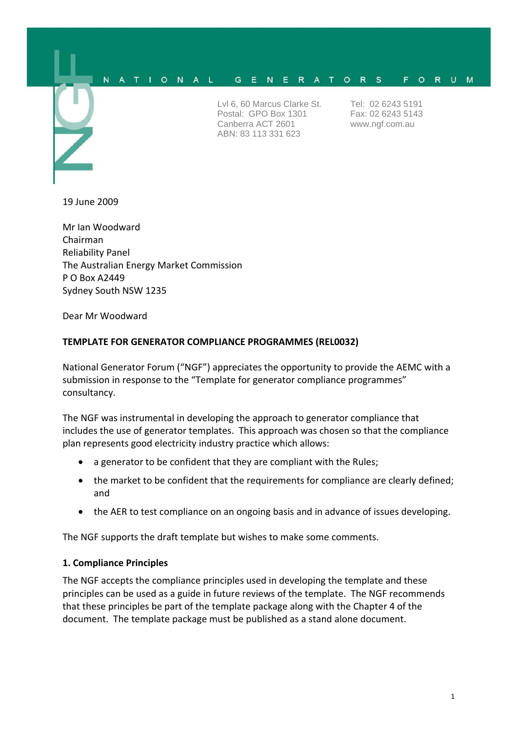#### IONAL N G E N E R A T O R S F O R U M

Lvl 6, 60 Marcus Clarke St. Postal: GPO Box 1301 Canberra ACT 2601 ABN: 83 113 331 623

Tel: 02 6243 5191 Fax: 02 6243 5143 www.ngf.com.au

19 June 2009

Mr Ian Woodward Chairman Reliability Panel The Australian Energy Market Commission P O Box A2449 Sydney South NSW 1235

Dear Mr Woodward

#### **TEMPLATE FOR GENERATOR COMPLIANCE PROGRAMMES (REL0032)**

National Generator Forum ("NGF") appreciates the opportunity to provide the AEMC with a submission in response to the "Template for generator compliance programmes" consultancy.

The NGF was instrumental in developing the approach to generator compliance that includes the use of generator templates. This approach was chosen so that the compliance plan represents good electricity industry practice which allows:

- a generator to be confident that they are compliant with the Rules;
- the market to be confident that the requirements for compliance are clearly defined: and
- the AER to test compliance on an ongoing basis and in advance of issues developing.

The NGF supports the draft template but wishes to make some comments.

#### **1. Compliance Principles**

The NGF accepts the compliance principles used in developing the template and these principles can be used as a guide in future reviews of the template. The NGF recommends that these principles be part of the template package along with the Chapter 4 of the document. The template package must be published as a stand alone document.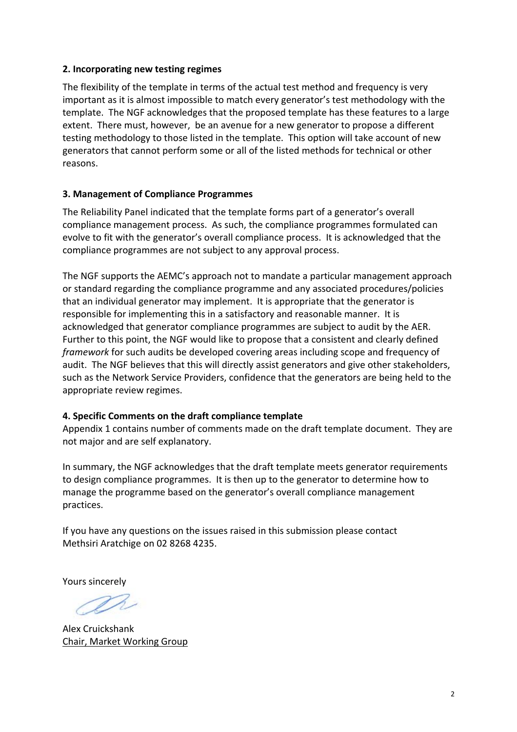## **2. Incorporating new testing regimes**

The flexibility of the template in terms of the actual test method and frequency is very important as it is almost impossible to match every generator's test methodology with the template. The NGF acknowledges that the proposed template has these features to a large extent. There must, however, be an avenue for a new generator to propose a different testing methodology to those listed in the template. This option will take account of new generators that cannot perform some or all of the listed methods for technical or other reasons.

## **3. Management of Compliance Programmes**

The Reliability Panel indicated that the template forms part of a generator's overall compliance management process. As such, the compliance programmes formulated can evolve to fit with the generator's overall compliance process. It is acknowledged that the compliance programmes are not subject to any approval process.

The NGF supports the AEMC's approach not to mandate a particular management approach or standard regarding the compliance programme and any associated procedures/policies that an individual generator may implement. It is appropriate that the generator is responsible for implementing this in a satisfactory and reasonable manner. It is acknowledged that generator compliance programmes are subject to audit by the AER. Further to this point, the NGF would like to propose that a consistent and clearly defined *framework* for such audits be developed covering areas including scope and frequency of audit. The NGF believes that this will directly assist generators and give other stakeholders, such as the Network Service Providers, confidence that the generators are being held to the appropriate review regimes.

# **4. Specific Comments on the draft compliance template**

Appendix 1 contains number of comments made on the draft template document. They are not major and are self explanatory.

In summary, the NGF acknowledges that the draft template meets generator requirements to design compliance programmes. It is then up to the generator to determine how to manage the programme based on the generator's overall compliance management practices.

If you have any questions on the issues raised in this submission please contact Methsiri Aratchige on 02 8268 4235.

Yours sincerely

Alex Cruickshank Chair, Market Working Group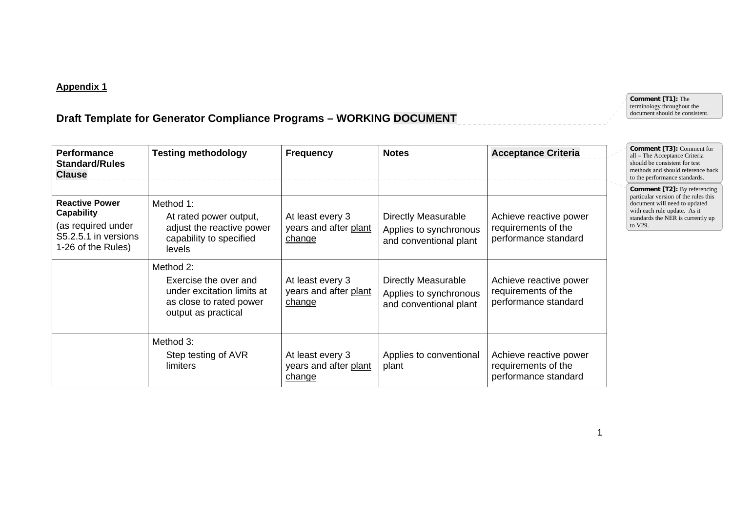## **Appendix 1**

# **Draft Template for Generator Compliance Programs – WORKING DOCUMENT**

| <b>Performance</b><br><b>Standard/Rules</b><br><b>Clause</b>                                                   | <b>Testing methodology</b>                                                                                         | <b>Frequency</b>                                    | <b>Notes</b>                                                                   | <b>Acceptance Criteria</b>                                            |  | <b>Comment [T3]: Comment for</b><br>all - The Acceptance Criteria<br>should be consistent for test<br>methods and should reference back<br>to the performance standards.                     |
|----------------------------------------------------------------------------------------------------------------|--------------------------------------------------------------------------------------------------------------------|-----------------------------------------------------|--------------------------------------------------------------------------------|-----------------------------------------------------------------------|--|----------------------------------------------------------------------------------------------------------------------------------------------------------------------------------------------|
| <b>Reactive Power</b><br><b>Capability</b><br>(as required under<br>S5.2.5.1 in versions<br>1-26 of the Rules) | Method 1:<br>At rated power output,<br>adjust the reactive power<br>capability to specified<br>levels              | At least every 3<br>years and after plant<br>change | <b>Directly Measurable</b><br>Applies to synchronous<br>and conventional plant | Achieve reactive power<br>requirements of the<br>performance standard |  | <b>Comment [T2]:</b> By referencing<br>particular version of the rules this<br>document will need to updated<br>with each rule update. As it<br>standards the NER is currently up<br>to V29. |
|                                                                                                                | Method 2:<br>Exercise the over and<br>under excitation limits at<br>as close to rated power<br>output as practical | At least every 3<br>years and after plant<br>change | <b>Directly Measurable</b><br>Applies to synchronous<br>and conventional plant | Achieve reactive power<br>requirements of the<br>performance standard |  |                                                                                                                                                                                              |
|                                                                                                                | Method 3:<br>Step testing of AVR<br>limiters                                                                       | At least every 3<br>years and after plant<br>change | Applies to conventional<br>plant                                               | Achieve reactive power<br>requirements of the<br>performance standard |  |                                                                                                                                                                                              |

**Comment [T1]:** The terminology throughout the document should be consistent.

1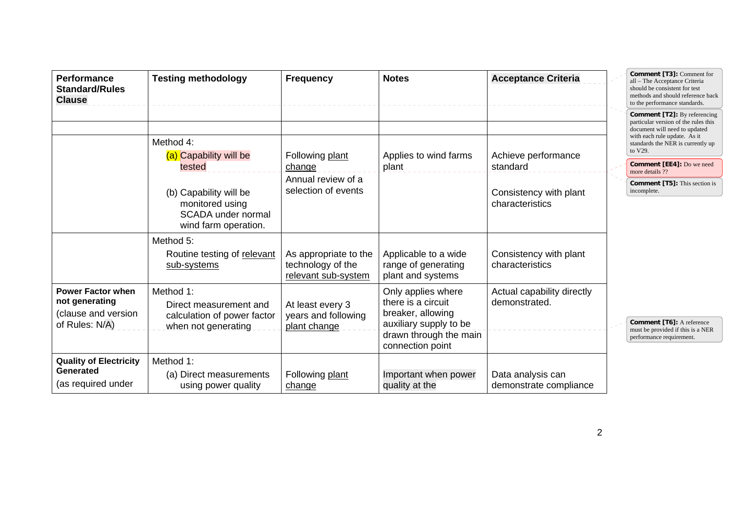| <b>Performance</b><br><b>Standard/Rules</b><br><b>Clause</b>                        | <b>Testing methodology</b>                                                                | <b>Frequency</b>                                                  | <b>Notes</b>                                                                                                                          | <b>Acceptance Criteria</b>                  | Comment [T3]: Comment for<br>all - The Acceptance Criteria<br>should be consistent for test<br>methods and should reference back<br>to the performance standards.                            |
|-------------------------------------------------------------------------------------|-------------------------------------------------------------------------------------------|-------------------------------------------------------------------|---------------------------------------------------------------------------------------------------------------------------------------|---------------------------------------------|----------------------------------------------------------------------------------------------------------------------------------------------------------------------------------------------|
|                                                                                     | Method 4:                                                                                 |                                                                   |                                                                                                                                       |                                             | <b>Comment [T2]:</b> By referencing<br>particular version of the rules this<br>document will need to updated<br>with each rule update. As it<br>standards the NER is currently up<br>to V29. |
|                                                                                     | (a) Capability will be<br>tested                                                          | Following plant<br>change                                         | Applies to wind farms<br>plant                                                                                                        | Achieve performance<br>standard             | <b>Comment [EE4]:</b> Do we need<br>more details ??                                                                                                                                          |
|                                                                                     | (b) Capability will be                                                                    | Annual review of a<br>selection of events                         |                                                                                                                                       | Consistency with plant<br>characteristics   | <b>Comment [T5]:</b> This section is<br>incomplete.                                                                                                                                          |
|                                                                                     | monitored using<br>SCADA under normal<br>wind farm operation.                             |                                                                   |                                                                                                                                       |                                             |                                                                                                                                                                                              |
|                                                                                     | Method 5:<br>Routine testing of relevant<br>sub-systems                                   | As appropriate to the<br>technology of the<br>relevant sub-system | Applicable to a wide<br>range of generating<br>plant and systems                                                                      | Consistency with plant<br>characteristics   |                                                                                                                                                                                              |
| <b>Power Factor when</b><br>not generating<br>(clause and version<br>of Rules: N/A) | Method 1:<br>Direct measurement and<br>calculation of power factor<br>when not generating | At least every 3<br>years and following<br>plant change           | Only applies where<br>there is a circuit<br>breaker, allowing<br>auxiliary supply to be<br>drawn through the main<br>connection point | Actual capability directly<br>demonstrated. | <b>Comment [T6]:</b> A reference<br>must be provided if this is a NER<br>performance requirement.                                                                                            |
| <b>Quality of Electricity</b><br>Generated<br>(as required under                    | Method 1:<br>(a) Direct measurements<br>using power quality                               | Following plant<br>change                                         | Important when power<br>quality at the                                                                                                | Data analysis can<br>demonstrate compliance |                                                                                                                                                                                              |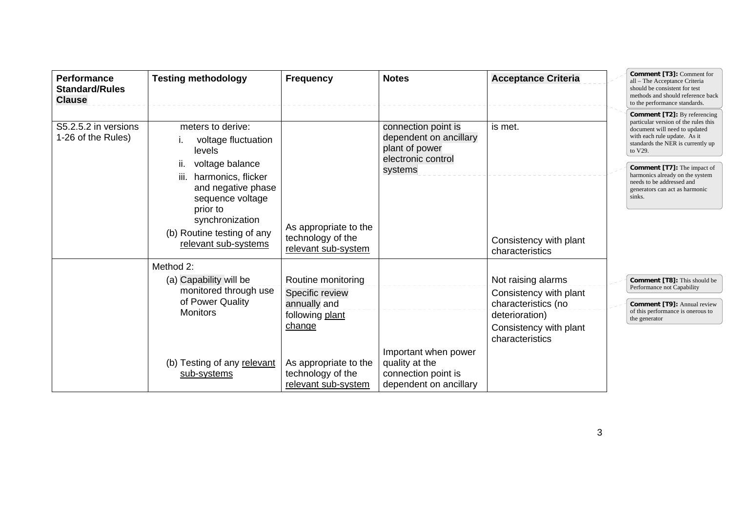| <b>Performance</b><br><b>Standard/Rules</b><br><b>Clause</b> | <b>Testing methodology</b>                                                                                                                           | <b>Frequency</b>                                                                   | <b>Notes</b>                                                                                     | <b>Acceptance Criteria</b>                                                                                                         | Comment [T3]: Comment for<br>all - The Acceptance Criteria<br>should be consistent for test<br>methods and should reference back<br>to the performance standards.                                                                                                                                                                              |
|--------------------------------------------------------------|------------------------------------------------------------------------------------------------------------------------------------------------------|------------------------------------------------------------------------------------|--------------------------------------------------------------------------------------------------|------------------------------------------------------------------------------------------------------------------------------------|------------------------------------------------------------------------------------------------------------------------------------------------------------------------------------------------------------------------------------------------------------------------------------------------------------------------------------------------|
| S5.2.5.2 in versions<br>1-26 of the Rules)                   | meters to derive:<br>voltage fluctuation<br>levels<br>voltage balance<br>ii.<br>harmonics, flicker<br>iii.<br>and negative phase<br>sequence voltage |                                                                                    | connection point is<br>dependent on ancillary<br>plant of power<br>electronic control<br>systems | is met.                                                                                                                            | <b>Comment [T2]:</b> By referencing<br>particular version of the rules this<br>document will need to updated<br>with each rule update. As it<br>standards the NER is currently up<br>to V29.<br><b>Comment [T7]:</b> The impact of<br>harmonics already on the system<br>needs to be addressed and<br>generators can act as harmonic<br>sinks. |
|                                                              | prior to<br>synchronization<br>(b) Routine testing of any<br>relevant sub-systems                                                                    | As appropriate to the<br>technology of the<br>relevant sub-system                  |                                                                                                  | Consistency with plant<br>characteristics                                                                                          |                                                                                                                                                                                                                                                                                                                                                |
|                                                              | Method 2:<br>(a) Capability will be<br>monitored through use<br>of Power Quality<br><b>Monitors</b>                                                  | Routine monitoring<br>Specific review<br>annually and<br>following plant<br>change |                                                                                                  | Not raising alarms<br>Consistency with plant<br>characteristics (no<br>deterioration)<br>Consistency with plant<br>characteristics | <b>Comment [T8]:</b> This should be<br>Performance not Capability<br><b>Comment [T9]: Annual review</b><br>of this performance is onerous to<br>the generator                                                                                                                                                                                  |
|                                                              | (b) Testing of any relevant<br>sub-systems                                                                                                           | As appropriate to the<br>technology of the<br>relevant sub-system                  | Important when power<br>quality at the<br>connection point is<br>dependent on ancillary          |                                                                                                                                    |                                                                                                                                                                                                                                                                                                                                                |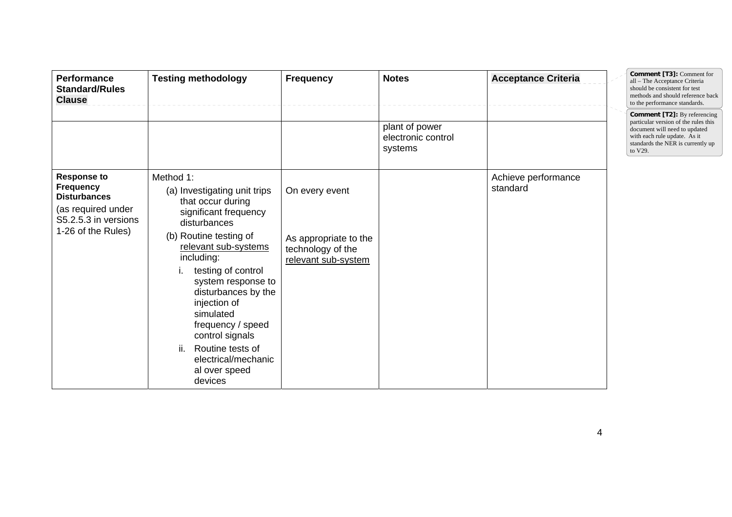| <b>Performance</b><br><b>Standard/Rules</b><br><b>Clause</b>                                                                      | <b>Testing methodology</b>                                                                                                                                                                                                                                                                                                                                                                    | <b>Frequency</b>                                                                    | <b>Notes</b>                                    | <b>Acceptance Criteria</b>      | Comment [T3]: Comment for<br>all - The Acceptance Criteria<br>should be consistent for test<br>methods and should reference back<br>to the performance standards.                            |
|-----------------------------------------------------------------------------------------------------------------------------------|-----------------------------------------------------------------------------------------------------------------------------------------------------------------------------------------------------------------------------------------------------------------------------------------------------------------------------------------------------------------------------------------------|-------------------------------------------------------------------------------------|-------------------------------------------------|---------------------------------|----------------------------------------------------------------------------------------------------------------------------------------------------------------------------------------------|
|                                                                                                                                   |                                                                                                                                                                                                                                                                                                                                                                                               |                                                                                     | plant of power<br>electronic control<br>systems |                                 | <b>Comment [T2]:</b> By referencing<br>particular version of the rules this<br>document will need to updated<br>with each rule update. As it<br>standards the NER is currently up<br>to V29. |
| <b>Response to</b><br><b>Frequency</b><br><b>Disturbances</b><br>(as required under<br>S5.2.5.3 in versions<br>1-26 of the Rules) | Method 1:<br>(a) Investigating unit trips<br>that occur during<br>significant frequency<br>disturbances<br>(b) Routine testing of<br>relevant sub-systems<br>including:<br>testing of control<br>system response to<br>disturbances by the<br>injection of<br>simulated<br>frequency / speed<br>control signals<br>ii.<br>Routine tests of<br>electrical/mechanic<br>al over speed<br>devices | On every event<br>As appropriate to the<br>technology of the<br>relevant sub-system |                                                 | Achieve performance<br>standard |                                                                                                                                                                                              |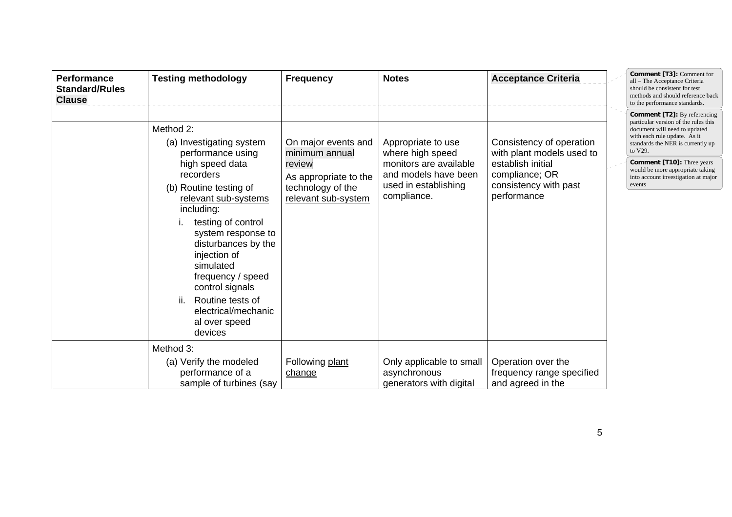| <b>Performance</b><br><b>Standard/Rules</b><br><b>Clause</b> | <b>Testing methodology</b>                                                                                                                                                                                                                                                                                                                                                       | <b>Frequency</b>                                                                                                     | <b>Notes</b>                                                                                                                    | <b>Acceptance Criteria</b>                                                                                                           | <b>Comment [T3]: Comment for</b><br>all - The Acceptance Criteria<br>should be consistent for test<br>methods and should reference back<br>to the performance standards.                                                                                                                                               |
|--------------------------------------------------------------|----------------------------------------------------------------------------------------------------------------------------------------------------------------------------------------------------------------------------------------------------------------------------------------------------------------------------------------------------------------------------------|----------------------------------------------------------------------------------------------------------------------|---------------------------------------------------------------------------------------------------------------------------------|--------------------------------------------------------------------------------------------------------------------------------------|------------------------------------------------------------------------------------------------------------------------------------------------------------------------------------------------------------------------------------------------------------------------------------------------------------------------|
|                                                              | Method 2:<br>(a) Investigating system<br>performance using<br>high speed data<br>recorders<br>(b) Routine testing of<br>relevant sub-systems<br>including:<br>testing of control<br>system response to<br>disturbances by the<br>injection of<br>simulated<br>frequency / speed<br>control signals<br>Routine tests of<br>ii.<br>electrical/mechanic<br>al over speed<br>devices | On major events and<br>minimum annual<br>review<br>As appropriate to the<br>technology of the<br>relevant sub-system | Appropriate to use<br>where high speed<br>monitors are available<br>and models have been<br>used in establishing<br>compliance. | Consistency of operation<br>with plant models used to<br>establish initial<br>compliance; OR<br>consistency with past<br>performance | <b>Comment [T2]:</b> By referencing<br>particular version of the rules this<br>document will need to updated<br>with each rule update. As it<br>standards the NER is currently up<br>to V29.<br><b>Comment [T10]:</b> Three years<br>would be more appropriate taking<br>into account investigation at major<br>events |
|                                                              | Method 3:<br>(a) Verify the modeled<br>performance of a<br>sample of turbines (say                                                                                                                                                                                                                                                                                               | Following plant<br>change                                                                                            | Only applicable to small<br>asynchronous<br>generators with digital                                                             | Operation over the<br>frequency range specified<br>and agreed in the                                                                 |                                                                                                                                                                                                                                                                                                                        |

 $\equiv$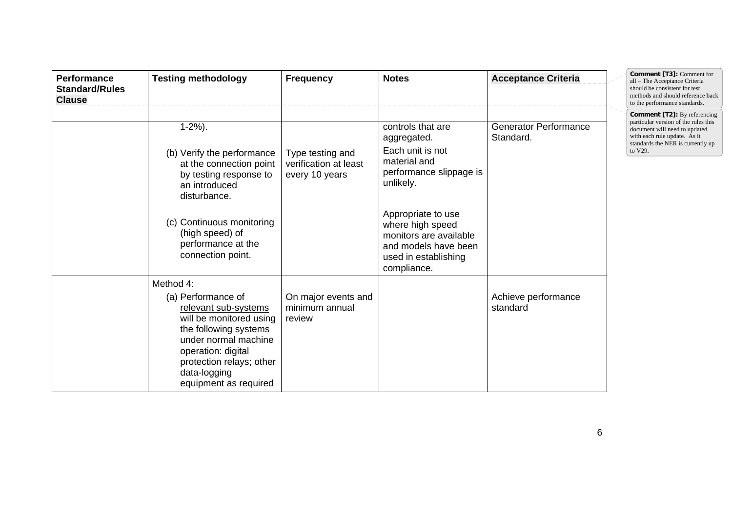| <b>Performance</b><br><b>Standard/Rules</b><br><b>Clause</b> | <b>Testing methodology</b>                                                                                                                                                                                                     | <b>Frequency</b>                                            | <b>Notes</b>                                                                                                                                                                                                                                    | <b>Acceptance Criteria</b>                | Comment [T3]: Comment for<br>all - The Acceptance Criteria<br>should be consistent for test<br>methods and should reference back<br>to the performance standards.                            |
|--------------------------------------------------------------|--------------------------------------------------------------------------------------------------------------------------------------------------------------------------------------------------------------------------------|-------------------------------------------------------------|-------------------------------------------------------------------------------------------------------------------------------------------------------------------------------------------------------------------------------------------------|-------------------------------------------|----------------------------------------------------------------------------------------------------------------------------------------------------------------------------------------------|
|                                                              | $1-2%$ ).<br>(b) Verify the performance<br>at the connection point<br>by testing response to<br>an introduced<br>disturbance.<br>(c) Continuous monitoring<br>(high speed) of<br>performance at the<br>connection point.       | Type testing and<br>verification at least<br>every 10 years | controls that are<br>aggregated.<br>Each unit is not<br>material and<br>performance slippage is<br>unlikely.<br>Appropriate to use<br>where high speed<br>monitors are available<br>and models have been<br>used in establishing<br>compliance. | <b>Generator Performance</b><br>Standard. | <b>Comment [T2]:</b> By referencing<br>particular version of the rules this<br>document will need to updated<br>with each rule update. As it<br>standards the NER is currently up<br>to V29. |
|                                                              | Method 4:<br>(a) Performance of<br>relevant sub-systems<br>will be monitored using<br>the following systems<br>under normal machine<br>operation: digital<br>protection relays; other<br>data-logging<br>equipment as required | On major events and<br>minimum annual<br>review             |                                                                                                                                                                                                                                                 | Achieve performance<br>standard           |                                                                                                                                                                                              |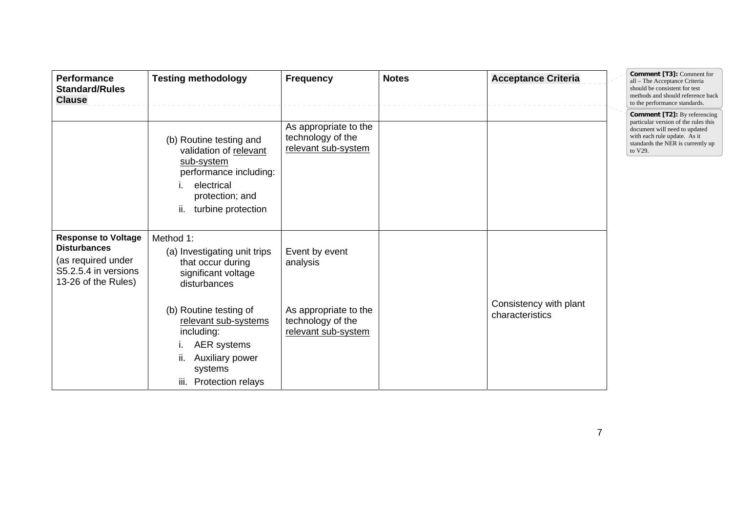| Performance<br><b>Standard/Rules</b><br><b>Clause</b>                                                                  | <b>Testing methodology</b>                                                                                                                              | <b>Frequency</b>                                                  | <b>Notes</b> | <b>Acceptance Criteria</b>                | Comment [T3]: Comment for<br>all - The Acceptance Criteria<br>should be consistent for test<br>methods and should reference back<br>to the performance standards.                            |
|------------------------------------------------------------------------------------------------------------------------|---------------------------------------------------------------------------------------------------------------------------------------------------------|-------------------------------------------------------------------|--------------|-------------------------------------------|----------------------------------------------------------------------------------------------------------------------------------------------------------------------------------------------|
|                                                                                                                        | (b) Routine testing and<br>validation of relevant<br>sub-system<br>performance including:<br>electrical<br>protection; and<br>ii.<br>turbine protection | As appropriate to the<br>technology of the<br>relevant sub-system |              |                                           | <b>Comment [T2]:</b> By referencing<br>particular version of the rules this<br>document will need to updated<br>with each rule update. As it<br>standards the NER is currently up<br>to V29. |
| <b>Response to Voltage</b><br><b>Disturbances</b><br>(as required under<br>S5.2.5.4 in versions<br>13-26 of the Rules) | Method 1:<br>(a) Investigating unit trips<br>that occur during<br>significant voltage<br>disturbances                                                   | Event by event<br>analysis                                        |              |                                           |                                                                                                                                                                                              |
|                                                                                                                        | (b) Routine testing of<br>relevant sub-systems<br>including:<br>AER systems<br>Auxiliary power<br>systems<br>Protection relays<br>iii.                  | As appropriate to the<br>technology of the<br>relevant sub-system |              | Consistency with plant<br>characteristics |                                                                                                                                                                                              |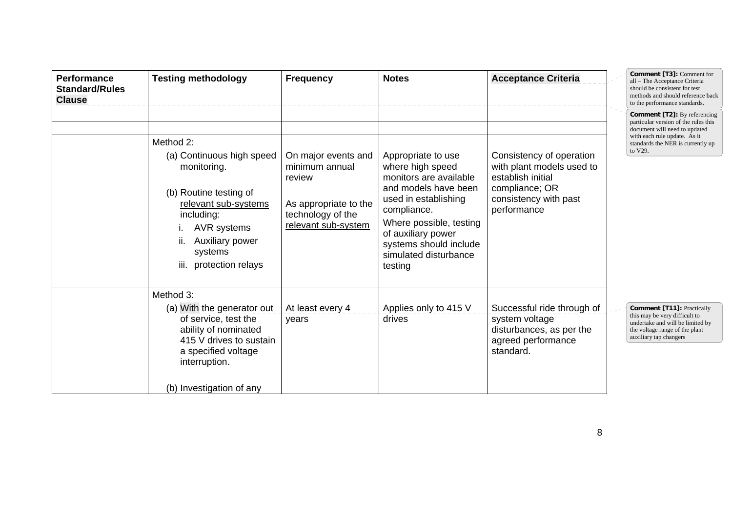| Performance<br><b>Standard/Rules</b><br><b>Clause</b> | <b>Testing methodology</b>                                                                                                                                                                      | <b>Frequency</b>                                                                                                     | <b>Notes</b>                                                                                                                                                                                                                                   | <b>Acceptance Criteria</b>                                                                                                           | Comment [T3]: Comment for<br>all - The Acceptance Criteria<br>should be consistent for test<br>methods and should reference back<br>to the performance standards.                            |
|-------------------------------------------------------|-------------------------------------------------------------------------------------------------------------------------------------------------------------------------------------------------|----------------------------------------------------------------------------------------------------------------------|------------------------------------------------------------------------------------------------------------------------------------------------------------------------------------------------------------------------------------------------|--------------------------------------------------------------------------------------------------------------------------------------|----------------------------------------------------------------------------------------------------------------------------------------------------------------------------------------------|
|                                                       | Method 2:<br>(a) Continuous high speed<br>monitoring.<br>(b) Routine testing of<br>relevant sub-systems<br>including:<br>AVR systems<br>Auxiliary power<br>systems<br>protection relays<br>iii. | On major events and<br>minimum annual<br>review<br>As appropriate to the<br>technology of the<br>relevant sub-system | Appropriate to use<br>where high speed<br>monitors are available<br>and models have been<br>used in establishing<br>compliance.<br>Where possible, testing<br>of auxiliary power<br>systems should include<br>simulated disturbance<br>testing | Consistency of operation<br>with plant models used to<br>establish initial<br>compliance; OR<br>consistency with past<br>performance | <b>Comment [T2]:</b> By referencing<br>particular version of the rules this<br>document will need to updated<br>with each rule update. As it<br>standards the NER is currently up<br>to V29. |
|                                                       | Method 3:<br>(a) With the generator out<br>of service, test the<br>ability of nominated<br>415 V drives to sustain<br>a specified voltage<br>interruption.<br>(b) Investigation of any          | At least every 4<br>years                                                                                            | Applies only to 415 V<br>drives                                                                                                                                                                                                                | Successful ride through of<br>system voltage<br>disturbances, as per the<br>agreed performance<br>standard.                          | <b>Comment [T11]: Practically</b><br>this may be very difficult to<br>undertake and will be limited by<br>the voltage range of the plant<br>auxiliary tap changers                           |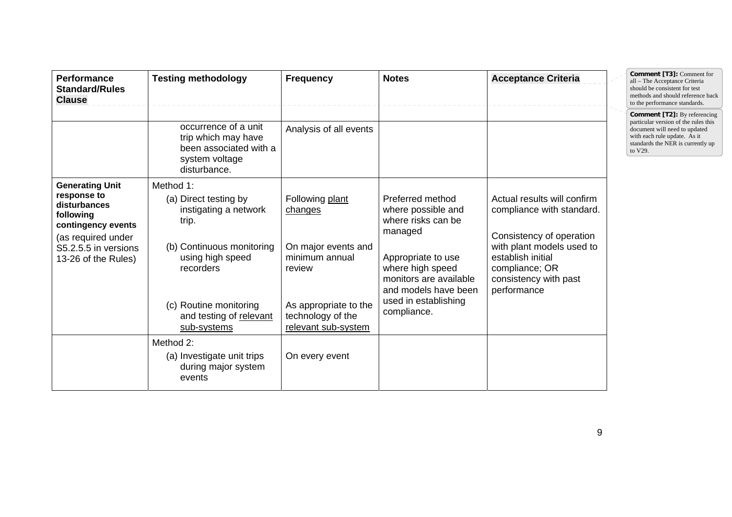| <b>Performance</b><br><b>Standard/Rules</b><br><b>Clause</b>                                                                                                  | <b>Testing methodology</b>                                                                                                                                                                             | <b>Frequency</b>                                                                                                                                   | <b>Notes</b>                                                                                                                                                                                               | <b>Acceptance Criteria</b>                                                                                                                                                                       | Comment [T3]: Comment for<br>all - The Acceptance Criteria<br>should be consistent for test<br>methods and should reference back<br>to the performance standards.                            |
|---------------------------------------------------------------------------------------------------------------------------------------------------------------|--------------------------------------------------------------------------------------------------------------------------------------------------------------------------------------------------------|----------------------------------------------------------------------------------------------------------------------------------------------------|------------------------------------------------------------------------------------------------------------------------------------------------------------------------------------------------------------|--------------------------------------------------------------------------------------------------------------------------------------------------------------------------------------------------|----------------------------------------------------------------------------------------------------------------------------------------------------------------------------------------------|
|                                                                                                                                                               | occurrence of a unit<br>trip which may have<br>been associated with a<br>system voltage<br>disturbance.                                                                                                | Analysis of all events                                                                                                                             |                                                                                                                                                                                                            |                                                                                                                                                                                                  | <b>Comment [T2]:</b> By referencing<br>particular version of the rules this<br>document will need to updated<br>with each rule update. As it<br>standards the NER is currently up<br>to V29. |
| <b>Generating Unit</b><br>response to<br>disturbances<br>following<br>contingency events<br>(as required under<br>S5.2.5.5 in versions<br>13-26 of the Rules) | Method 1:<br>(a) Direct testing by<br>instigating a network<br>trip.<br>(b) Continuous monitoring<br>using high speed<br>recorders<br>(c) Routine monitoring<br>and testing of relevant<br>sub-systems | Following plant<br>changes<br>On major events and<br>minimum annual<br>review<br>As appropriate to the<br>technology of the<br>relevant sub-system | Preferred method<br>where possible and<br>where risks can be<br>managed<br>Appropriate to use<br>where high speed<br>monitors are available<br>and models have been<br>used in establishing<br>compliance. | Actual results will confirm<br>compliance with standard.<br>Consistency of operation<br>with plant models used to<br>establish initial<br>compliance; OR<br>consistency with past<br>performance |                                                                                                                                                                                              |
|                                                                                                                                                               | Method 2:<br>(a) Investigate unit trips<br>during major system<br>events                                                                                                                               | On every event                                                                                                                                     |                                                                                                                                                                                                            |                                                                                                                                                                                                  |                                                                                                                                                                                              |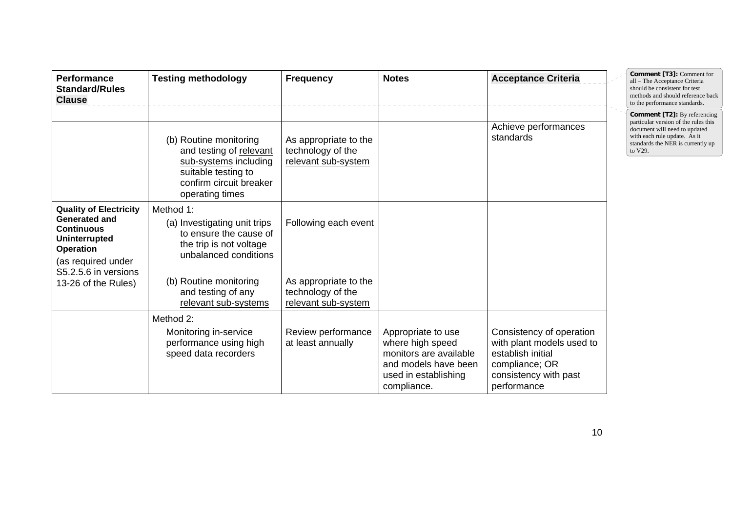| <b>Performance</b><br><b>Standard/Rules</b><br><b>Clause</b>                                                                                                                                | <b>Testing methodology</b>                                                                                                                                              | <b>Frequency</b>                                                   | <b>Notes</b>                                                                                                                    | <b>Acceptance Criteria</b>                                                                                                           |  | Comment [T3]: Comment for<br>all - The Acceptance Criteria<br>should be consistent for test<br>methods and should reference back<br>to the performance standards.                            |
|---------------------------------------------------------------------------------------------------------------------------------------------------------------------------------------------|-------------------------------------------------------------------------------------------------------------------------------------------------------------------------|--------------------------------------------------------------------|---------------------------------------------------------------------------------------------------------------------------------|--------------------------------------------------------------------------------------------------------------------------------------|--|----------------------------------------------------------------------------------------------------------------------------------------------------------------------------------------------|
|                                                                                                                                                                                             | (b) Routine monitoring<br>and testing of relevant<br>sub-systems including<br>suitable testing to<br>confirm circuit breaker<br>operating times                         | As appropriate to the<br>technology of the<br>relevant sub-system  |                                                                                                                                 | Achieve performances<br>standards                                                                                                    |  | <b>Comment [T2]:</b> By referencing<br>particular version of the rules this<br>document will need to updated<br>with each rule update. As it<br>standards the NER is currently up<br>to V29. |
| <b>Quality of Electricity</b><br><b>Generated and</b><br><b>Continuous</b><br><b>Uninterrupted</b><br><b>Operation</b><br>(as required under<br>S5.2.5.6 in versions<br>13-26 of the Rules) | Method 1:<br>(a) Investigating unit trips<br>to ensure the cause of<br>the trip is not voltage<br>unbalanced conditions<br>(b) Routine monitoring<br>and testing of any | Following each event<br>As appropriate to the<br>technology of the |                                                                                                                                 |                                                                                                                                      |  |                                                                                                                                                                                              |
|                                                                                                                                                                                             | relevant sub-systems                                                                                                                                                    | relevant sub-system                                                |                                                                                                                                 |                                                                                                                                      |  |                                                                                                                                                                                              |
|                                                                                                                                                                                             | Method 2:<br>Monitoring in-service<br>performance using high<br>speed data recorders                                                                                    | Review performance<br>at least annually                            | Appropriate to use<br>where high speed<br>monitors are available<br>and models have been<br>used in establishing<br>compliance. | Consistency of operation<br>with plant models used to<br>establish initial<br>compliance; OR<br>consistency with past<br>performance |  |                                                                                                                                                                                              |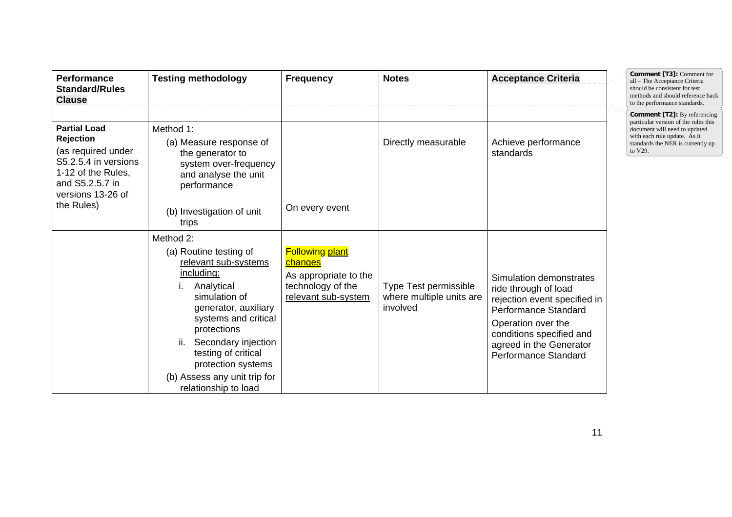| <b>Performance</b><br><b>Standard/Rules</b><br><b>Clause</b>                                                                                                      | <b>Testing methodology</b>                                                                                                                                                                                                                                                                                                 | <b>Frequency</b>                                                                                       | <b>Notes</b>                                                  | <b>Acceptance Criteria</b>                                                                                                                                                                                          | Comment [T3]: Comment for<br>all - The Acceptance Criteria<br>should be consistent for test<br>methods and should reference back<br>to the performance standards.<br><b>Comment [T2]:</b> By referencing |
|-------------------------------------------------------------------------------------------------------------------------------------------------------------------|----------------------------------------------------------------------------------------------------------------------------------------------------------------------------------------------------------------------------------------------------------------------------------------------------------------------------|--------------------------------------------------------------------------------------------------------|---------------------------------------------------------------|---------------------------------------------------------------------------------------------------------------------------------------------------------------------------------------------------------------------|----------------------------------------------------------------------------------------------------------------------------------------------------------------------------------------------------------|
| <b>Partial Load</b><br><b>Rejection</b><br>(as required under<br>S5.2.5.4 in versions<br>1-12 of the Rules,<br>and S5.2.5.7 in<br>versions 13-26 of<br>the Rules) | Method 1:<br>(a) Measure response of<br>the generator to<br>system over-frequency<br>and analyse the unit<br>performance<br>(b) Investigation of unit                                                                                                                                                                      | On every event                                                                                         | Directly measurable                                           | Achieve performance<br>standards                                                                                                                                                                                    | particular version of the rules this<br>document will need to updated<br>with each rule update. As it<br>standards the NER is currently up<br>to V29.                                                    |
|                                                                                                                                                                   | trips<br>Method 2:<br>(a) Routine testing of<br>relevant sub-systems<br><u>including:</u><br>Analytical<br>simulation of<br>generator, auxiliary<br>systems and critical<br>protections<br>ii.<br>Secondary injection<br>testing of critical<br>protection systems<br>(b) Assess any unit trip for<br>relationship to load | <b>Following plant</b><br>changes<br>As appropriate to the<br>technology of the<br>relevant sub-system | Type Test permissible<br>where multiple units are<br>involved | Simulation demonstrates<br>ride through of load<br>rejection event specified in<br><b>Performance Standard</b><br>Operation over the<br>conditions specified and<br>agreed in the Generator<br>Performance Standard |                                                                                                                                                                                                          |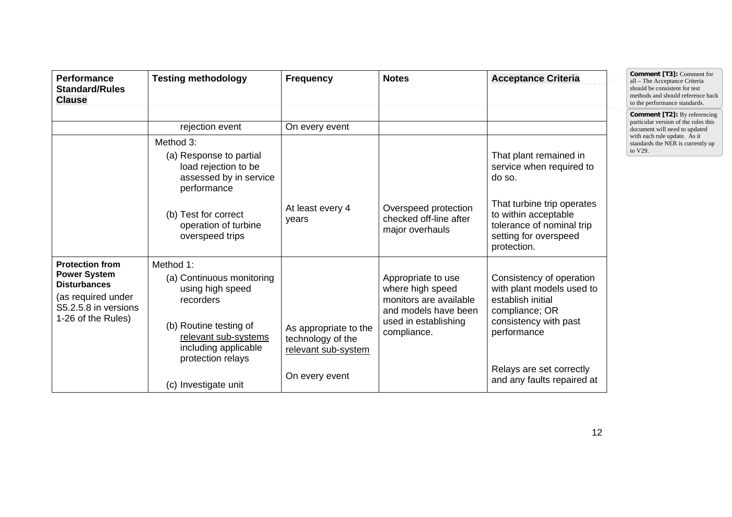| <b>Performance</b><br><b>Standard/Rules</b><br><b>Clause</b>                                                                             | <b>Testing methodology</b>                                                                                                                                                                     | <b>Frequency</b>                                                                    | <b>Notes</b>                                                                                                                    | <b>Acceptance Criteria</b>                                                                                                                                                                     | Comment [T3]: Comment for<br>all - The Acceptance Criteria<br>should be consistent for test<br>methods and should reference back<br>to the performance standards. |
|------------------------------------------------------------------------------------------------------------------------------------------|------------------------------------------------------------------------------------------------------------------------------------------------------------------------------------------------|-------------------------------------------------------------------------------------|---------------------------------------------------------------------------------------------------------------------------------|------------------------------------------------------------------------------------------------------------------------------------------------------------------------------------------------|-------------------------------------------------------------------------------------------------------------------------------------------------------------------|
|                                                                                                                                          | rejection event                                                                                                                                                                                | On every event                                                                      |                                                                                                                                 |                                                                                                                                                                                                | <b>Comment [T2]:</b> By referencing<br>particular version of the rules this<br>document will need to updated                                                      |
|                                                                                                                                          | Method 3:<br>(a) Response to partial<br>load rejection to be<br>assessed by in service<br>performance<br>(b) Test for correct<br>operation of turbine<br>overspeed trips                       | At least every 4<br>years                                                           | Overspeed protection<br>checked off-line after<br>major overhauls                                                               | That plant remained in<br>service when required to<br>do so.<br>That turbine trip operates<br>to within acceptable<br>tolerance of nominal trip<br>setting for overspeed<br>protection.        | with each rule update. As it<br>standards the NER is currently up<br>to V29.                                                                                      |
| <b>Protection from</b><br><b>Power System</b><br><b>Disturbances</b><br>(as required under<br>S5.2.5.8 in versions<br>1-26 of the Rules) | Method 1:<br>(a) Continuous monitoring<br>using high speed<br>recorders<br>(b) Routine testing of<br>relevant sub-systems<br>including applicable<br>protection relays<br>(c) Investigate unit | As appropriate to the<br>technology of the<br>relevant sub-system<br>On every event | Appropriate to use<br>where high speed<br>monitors are available<br>and models have been<br>used in establishing<br>compliance. | Consistency of operation<br>with plant models used to<br>establish initial<br>compliance; OR<br>consistency with past<br>performance<br>Relays are set correctly<br>and any faults repaired at |                                                                                                                                                                   |

12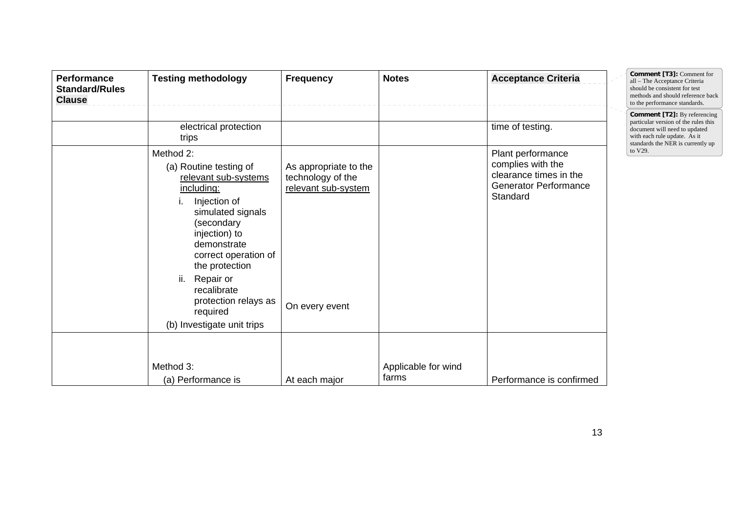| <b>Performance</b><br><b>Standard/Rules</b><br><b>Clause</b> | <b>Testing methodology</b>                                                                                                                                                                                                                                                                                                                    | <b>Frequency</b>                                                                    | <b>Notes</b>                 | <b>Acceptance Criteria</b>                                                                                                       | Comment [T3]: Comment for<br>all - The Acceptance Criteria<br>should be consistent for test<br>methods and should reference back<br>to the performance standards.                            |
|--------------------------------------------------------------|-----------------------------------------------------------------------------------------------------------------------------------------------------------------------------------------------------------------------------------------------------------------------------------------------------------------------------------------------|-------------------------------------------------------------------------------------|------------------------------|----------------------------------------------------------------------------------------------------------------------------------|----------------------------------------------------------------------------------------------------------------------------------------------------------------------------------------------|
|                                                              | electrical protection<br>trips<br>Method 2:<br>(a) Routine testing of<br>relevant sub-systems<br>including:<br>Injection of<br>simulated signals<br>(secondary<br>injection) to<br>demonstrate<br>correct operation of<br>the protection<br>ii.<br>Repair or<br>recalibrate<br>protection relays as<br>required<br>(b) Investigate unit trips | As appropriate to the<br>technology of the<br>relevant sub-system<br>On every event |                              | time of testing.<br>Plant performance<br>complies with the<br>clearance times in the<br><b>Generator Performance</b><br>Standard | <b>Comment [T2]:</b> By referencing<br>particular version of the rules this<br>document will need to updated<br>with each rule update. As it<br>standards the NER is currently up<br>to V29. |
|                                                              | Method 3:<br>(a) Performance is                                                                                                                                                                                                                                                                                                               | At each major                                                                       | Applicable for wind<br>farms | Performance is confirmed                                                                                                         |                                                                                                                                                                                              |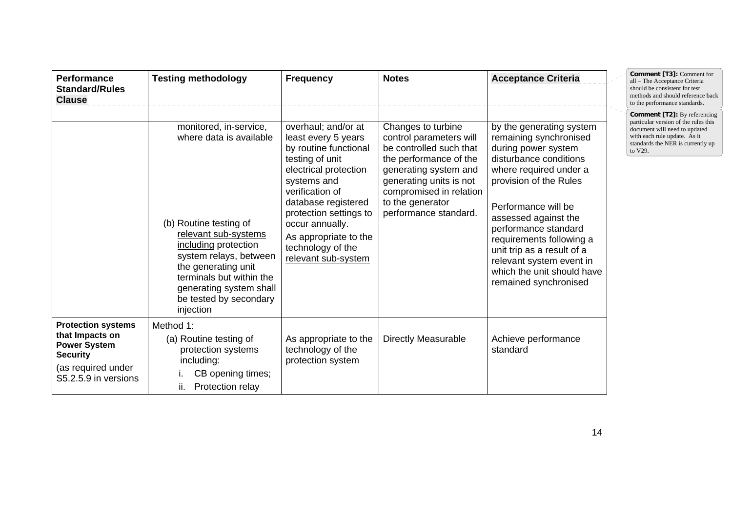| <b>Performance</b><br><b>Standard/Rules</b><br><b>Clause</b>                                                                         | <b>Testing methodology</b>                                                                                                                                                                                                                                                 | <b>Frequency</b>                                                                                                                                                                                                                                                                           | <b>Notes</b>                                                                                                                                                                                                                   | <b>Acceptance Criteria</b>                                                                                                                                                                                                                                                                                                                                                  | <b>Comment [T3]: Comment for</b><br>all - The Acceptance Criteria<br>should be consistent for test<br>methods and should reference back<br>to the performance standards.              |
|--------------------------------------------------------------------------------------------------------------------------------------|----------------------------------------------------------------------------------------------------------------------------------------------------------------------------------------------------------------------------------------------------------------------------|--------------------------------------------------------------------------------------------------------------------------------------------------------------------------------------------------------------------------------------------------------------------------------------------|--------------------------------------------------------------------------------------------------------------------------------------------------------------------------------------------------------------------------------|-----------------------------------------------------------------------------------------------------------------------------------------------------------------------------------------------------------------------------------------------------------------------------------------------------------------------------------------------------------------------------|---------------------------------------------------------------------------------------------------------------------------------------------------------------------------------------|
|                                                                                                                                      | monitored, in-service,<br>where data is available<br>(b) Routine testing of<br>relevant sub-systems<br>including protection<br>system relays, between<br>the generating unit<br>terminals but within the<br>generating system shall<br>be tested by secondary<br>injection | overhaul; and/or at<br>least every 5 years<br>by routine functional<br>testing of unit<br>electrical protection<br>systems and<br>verification of<br>database registered<br>protection settings to<br>occur annually.<br>As appropriate to the<br>technology of the<br>relevant sub-system | Changes to turbine<br>control parameters will<br>be controlled such that<br>the performance of the<br>generating system and<br>generating units is not<br>compromised in relation<br>to the generator<br>performance standard. | by the generating system<br>remaining synchronised<br>during power system<br>disturbance conditions<br>where required under a<br>provision of the Rules<br>Performance will be<br>assessed against the<br>performance standard<br>requirements following a<br>unit trip as a result of a<br>relevant system event in<br>which the unit should have<br>remained synchronised | Comment [T2]: By referencing<br>particular version of the rules this<br>document will need to updated<br>with each rule update. As it<br>standards the NER is currently up<br>to V29. |
| <b>Protection systems</b><br>that Impacts on<br><b>Power System</b><br><b>Security</b><br>(as required under<br>S5.2.5.9 in versions | Method 1:<br>(a) Routine testing of<br>protection systems<br>including:<br>CB opening times;<br>Protection relay<br>н.                                                                                                                                                     | As appropriate to the<br>technology of the<br>protection system                                                                                                                                                                                                                            | <b>Directly Measurable</b>                                                                                                                                                                                                     | Achieve performance<br>standard                                                                                                                                                                                                                                                                                                                                             |                                                                                                                                                                                       |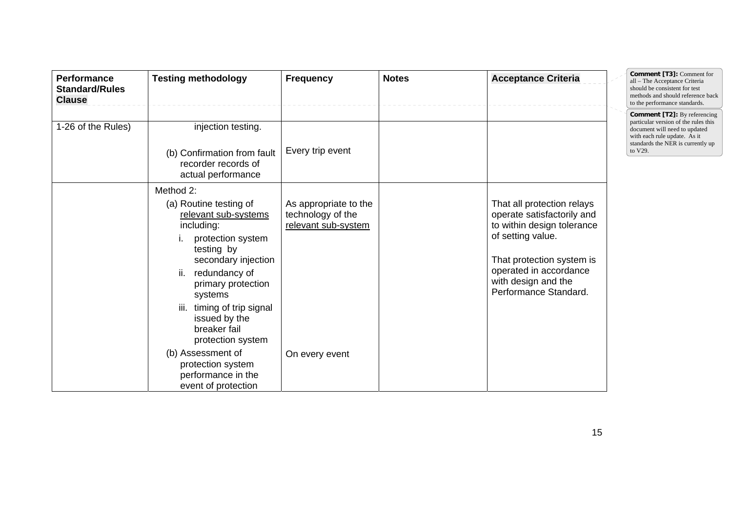| Performance<br><b>Standard/Rules</b><br><b>Clause</b> | <b>Testing methodology</b>                                                                                                                                                                                                                                                                               | <b>Frequency</b>                                                                    | <b>Notes</b> | <b>Acceptance Criteria</b>                                                                                                                                                                                         | Comment [T3]: Comment for<br>all - The Acceptance Criteria<br>should be consistent for test<br>methods and should reference back<br>to the performance standards.                            |
|-------------------------------------------------------|----------------------------------------------------------------------------------------------------------------------------------------------------------------------------------------------------------------------------------------------------------------------------------------------------------|-------------------------------------------------------------------------------------|--------------|--------------------------------------------------------------------------------------------------------------------------------------------------------------------------------------------------------------------|----------------------------------------------------------------------------------------------------------------------------------------------------------------------------------------------|
| 1-26 of the Rules)                                    | injection testing.<br>(b) Confirmation from fault<br>recorder records of<br>actual performance                                                                                                                                                                                                           | Every trip event                                                                    |              |                                                                                                                                                                                                                    | <b>Comment [T2]:</b> By referencing<br>particular version of the rules this<br>document will need to updated<br>with each rule update. As it<br>standards the NER is currently up<br>to V29. |
|                                                       | Method 2:<br>(a) Routine testing of<br>relevant sub-systems<br>including:<br>protection system<br>testing by<br>secondary injection<br>redundancy of<br>ii.<br>primary protection<br>systems<br>timing of trip signal<br>iii.<br>issued by the<br>breaker fail<br>protection system<br>(b) Assessment of | As appropriate to the<br>technology of the<br>relevant sub-system<br>On every event |              | That all protection relays<br>operate satisfactorily and<br>to within design tolerance<br>of setting value.<br>That protection system is<br>operated in accordance<br>with design and the<br>Performance Standard. |                                                                                                                                                                                              |
|                                                       | protection system<br>performance in the<br>event of protection                                                                                                                                                                                                                                           |                                                                                     |              |                                                                                                                                                                                                                    |                                                                                                                                                                                              |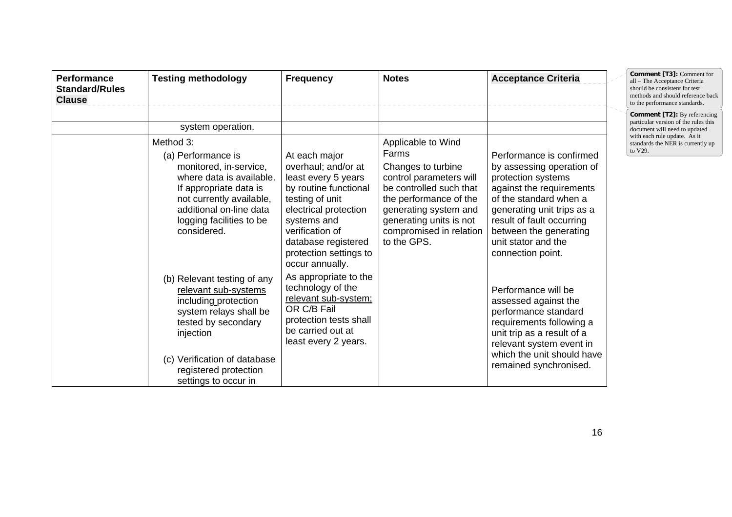| <b>Performance</b><br><b>Standard/Rules</b><br><b>Clause</b> | <b>Testing methodology</b>                                                                                                                                                                                                             | <b>Frequency</b>                                                                                                                                                                                                    | <b>Notes</b>                                                                                                                                                                                                                    | <b>Acceptance Criteria</b>                                                                                                                                                                                                                                         | Comment [T3]: Comment for<br>all - The Acceptance Criteria<br>should be consistent for test<br>methods and should reference back<br>to the performance standards.                            |
|--------------------------------------------------------------|----------------------------------------------------------------------------------------------------------------------------------------------------------------------------------------------------------------------------------------|---------------------------------------------------------------------------------------------------------------------------------------------------------------------------------------------------------------------|---------------------------------------------------------------------------------------------------------------------------------------------------------------------------------------------------------------------------------|--------------------------------------------------------------------------------------------------------------------------------------------------------------------------------------------------------------------------------------------------------------------|----------------------------------------------------------------------------------------------------------------------------------------------------------------------------------------------|
|                                                              | system operation.<br>Method 3:<br>(a) Performance is<br>monitored, in-service,<br>where data is available.<br>If appropriate data is<br>not currently available,<br>additional on-line data<br>logging facilities to be<br>considered. | At each major<br>overhaul; and/or at<br>least every 5 years<br>by routine functional<br>testing of unit<br>electrical protection<br>systems and<br>verification of<br>database registered<br>protection settings to | Applicable to Wind<br>Farms<br>Changes to turbine<br>control parameters will<br>be controlled such that<br>the performance of the<br>generating system and<br>generating units is not<br>compromised in relation<br>to the GPS. | Performance is confirmed<br>by assessing operation of<br>protection systems<br>against the requirements<br>of the standard when a<br>generating unit trips as a<br>result of fault occurring<br>between the generating<br>unit stator and the<br>connection point. | <b>Comment [T2]:</b> By referencing<br>particular version of the rules this<br>document will need to updated<br>with each rule update. As it<br>standards the NER is currently up<br>to V29. |
|                                                              | (b) Relevant testing of any<br>relevant sub-systems<br>including protection<br>system relays shall be<br>tested by secondary<br>injection<br>(c) Verification of database<br>registered protection<br>settings to occur in             | occur annually.<br>As appropriate to the<br>technology of the<br>relevant sub-system;<br>OR C/B Fail<br>protection tests shall<br>be carried out at<br>least every 2 years.                                         |                                                                                                                                                                                                                                 | Performance will be<br>assessed against the<br>performance standard<br>requirements following a<br>unit trip as a result of a<br>relevant system event in<br>which the unit should have<br>remained synchronised.                                                  |                                                                                                                                                                                              |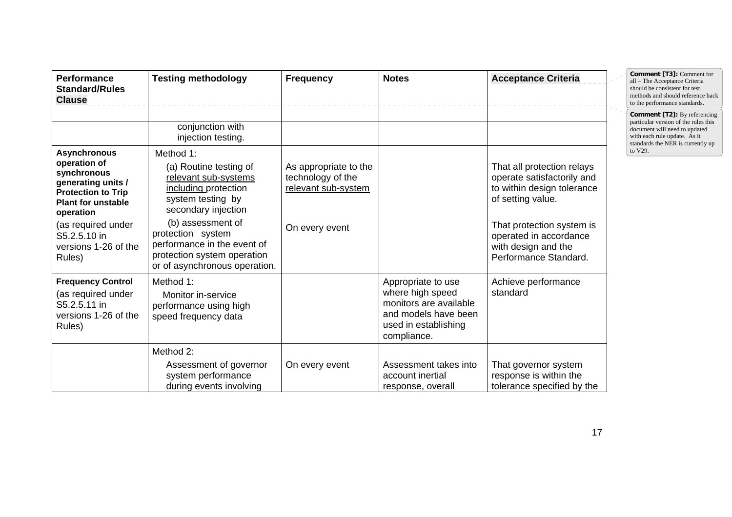| <b>Performance</b><br><b>Standard/Rules</b><br><b>Clause</b>                                                                                                                                                            | <b>Testing methodology</b>                                                                                                                                                                                                                                               | <b>Frequency</b>                                                                    | <b>Notes</b>                                                                                                                    | <b>Acceptance Criteria</b>                                                                                                                                                                                         | <b>Comment [T3]: Comment for</b><br>all - The Acceptance Criteria<br>should be consistent for test<br>methods and should reference back<br>to the performance standards.          |
|-------------------------------------------------------------------------------------------------------------------------------------------------------------------------------------------------------------------------|--------------------------------------------------------------------------------------------------------------------------------------------------------------------------------------------------------------------------------------------------------------------------|-------------------------------------------------------------------------------------|---------------------------------------------------------------------------------------------------------------------------------|--------------------------------------------------------------------------------------------------------------------------------------------------------------------------------------------------------------------|-----------------------------------------------------------------------------------------------------------------------------------------------------------------------------------|
|                                                                                                                                                                                                                         | conjunction with<br>injection testing.                                                                                                                                                                                                                                   |                                                                                     |                                                                                                                                 |                                                                                                                                                                                                                    | <b>Comment [T2]:</b> By referencing<br>particular version of the rules this<br>document will need to updated<br>with each rule update. As it<br>standards the NER is currently up |
| <b>Asynchronous</b><br>operation of<br>synchronous<br>generating units /<br><b>Protection to Trip</b><br><b>Plant for unstable</b><br>operation<br>(as required under<br>S5.2.5.10 in<br>versions 1-26 of the<br>Rules) | Method 1:<br>(a) Routine testing of<br>relevant sub-systems<br>including protection<br>system testing by<br>secondary injection<br>(b) assessment of<br>protection system<br>performance in the event of<br>protection system operation<br>or of asynchronous operation. | As appropriate to the<br>technology of the<br>relevant sub-system<br>On every event |                                                                                                                                 | That all protection relays<br>operate satisfactorily and<br>to within design tolerance<br>of setting value.<br>That protection system is<br>operated in accordance<br>with design and the<br>Performance Standard. | to V29.                                                                                                                                                                           |
| <b>Frequency Control</b><br>(as required under<br>S5.2.5.11 in<br>versions 1-26 of the<br>Rules)                                                                                                                        | Method 1:<br>Monitor in-service<br>performance using high<br>speed frequency data                                                                                                                                                                                        |                                                                                     | Appropriate to use<br>where high speed<br>monitors are available<br>and models have been<br>used in establishing<br>compliance. | Achieve performance<br>standard                                                                                                                                                                                    |                                                                                                                                                                                   |
|                                                                                                                                                                                                                         | Method 2:<br>Assessment of governor<br>system performance<br>during events involving                                                                                                                                                                                     | On every event                                                                      | Assessment takes into<br>account inertial<br>response, overall                                                                  | That governor system<br>response is within the<br>tolerance specified by the                                                                                                                                       |                                                                                                                                                                                   |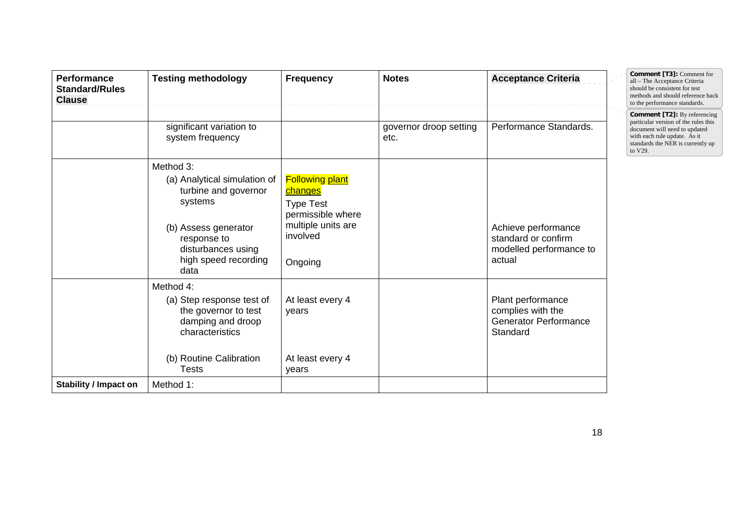| <b>Performance</b><br><b>Standard/Rules</b><br><b>Clause</b> | <b>Testing methodology</b>                                                                                                                                                | <b>Frequency</b>                                                                                                               | <b>Notes</b>                   | <b>Acceptance Criteria</b>                                                         | Comment [T3]: Comment for<br>all - The Acceptance Criteria<br>should be consistent for test<br>methods and should reference back<br>to the performance standards.                            |
|--------------------------------------------------------------|---------------------------------------------------------------------------------------------------------------------------------------------------------------------------|--------------------------------------------------------------------------------------------------------------------------------|--------------------------------|------------------------------------------------------------------------------------|----------------------------------------------------------------------------------------------------------------------------------------------------------------------------------------------|
|                                                              | significant variation to<br>system frequency                                                                                                                              |                                                                                                                                | governor droop setting<br>etc. | Performance Standards.                                                             | <b>Comment [T2]:</b> By referencing<br>particular version of the rules this<br>document will need to updated<br>with each rule update. As it<br>standards the NER is currently up<br>to V29. |
|                                                              | Method 3:<br>(a) Analytical simulation of<br>turbine and governor<br>systems<br>(b) Assess generator<br>response to<br>disturbances using<br>high speed recording<br>data | <b>Following plant</b><br><b>changes</b><br><b>Type Test</b><br>permissible where<br>multiple units are<br>involved<br>Ongoing |                                | Achieve performance<br>standard or confirm<br>modelled performance to<br>actual    |                                                                                                                                                                                              |
|                                                              | Method 4:<br>(a) Step response test of<br>the governor to test<br>damping and droop<br>characteristics<br>(b) Routine Calibration<br><b>Tests</b>                         | At least every 4<br>years<br>At least every 4<br>years                                                                         |                                | Plant performance<br>complies with the<br><b>Generator Performance</b><br>Standard |                                                                                                                                                                                              |
| <b>Stability / Impact on</b>                                 | Method 1:                                                                                                                                                                 |                                                                                                                                |                                |                                                                                    |                                                                                                                                                                                              |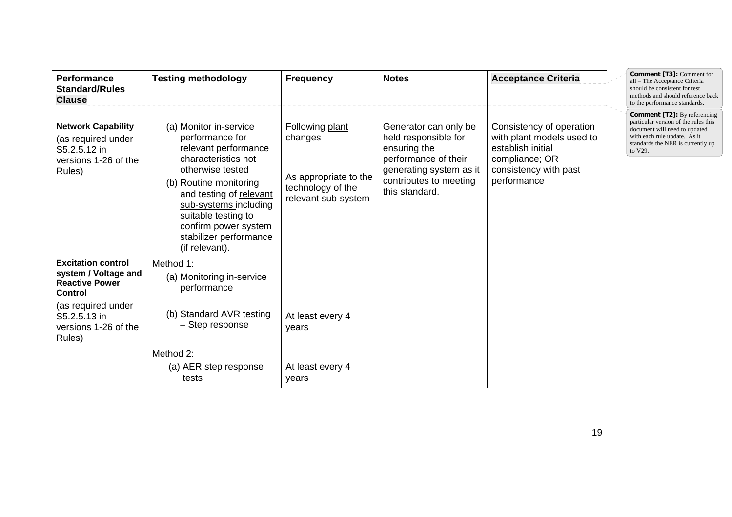| <b>Performance</b><br><b>Standard/Rules</b><br><b>Clause</b>                                                                | <b>Testing methodology</b>                                                                                                                                                                                                                                                            | <b>Frequency</b>                                                                                | <b>Notes</b>                                                                                                                                                 | <b>Acceptance Criteria</b>                                                                                                           | Comment [T3]: Comment for<br>all - The Acceptance Criteria<br>should be consistent for test<br>methods and should reference back<br>to the performance standards.                            |
|-----------------------------------------------------------------------------------------------------------------------------|---------------------------------------------------------------------------------------------------------------------------------------------------------------------------------------------------------------------------------------------------------------------------------------|-------------------------------------------------------------------------------------------------|--------------------------------------------------------------------------------------------------------------------------------------------------------------|--------------------------------------------------------------------------------------------------------------------------------------|----------------------------------------------------------------------------------------------------------------------------------------------------------------------------------------------|
| <b>Network Capability</b><br>(as required under<br>S5.2.5.12 in<br>versions 1-26 of the<br>Rules)                           | (a) Monitor in-service<br>performance for<br>relevant performance<br>characteristics not<br>otherwise tested<br>(b) Routine monitoring<br>and testing of relevant<br>sub-systems including<br>suitable testing to<br>confirm power system<br>stabilizer performance<br>(if relevant). | Following plant<br>changes<br>As appropriate to the<br>technology of the<br>relevant sub-system | Generator can only be<br>held responsible for<br>ensuring the<br>performance of their<br>generating system as it<br>contributes to meeting<br>this standard. | Consistency of operation<br>with plant models used to<br>establish initial<br>compliance; OR<br>consistency with past<br>performance | <b>Comment [T2]:</b> By referencing<br>particular version of the rules this<br>document will need to updated<br>with each rule update. As it<br>standards the NER is currently up<br>to V29. |
| <b>Excitation control</b><br>system / Voltage and<br><b>Reactive Power</b><br>Control<br>(as required under<br>S5.2.5.13 in | Method 1:<br>(a) Monitoring in-service<br>performance<br>(b) Standard AVR testing                                                                                                                                                                                                     | At least every 4                                                                                |                                                                                                                                                              |                                                                                                                                      |                                                                                                                                                                                              |
| versions 1-26 of the<br>Rules)                                                                                              | - Step response                                                                                                                                                                                                                                                                       | vears                                                                                           |                                                                                                                                                              |                                                                                                                                      |                                                                                                                                                                                              |
|                                                                                                                             | Method 2:<br>(a) AER step response<br>tests                                                                                                                                                                                                                                           | At least every 4<br>years                                                                       |                                                                                                                                                              |                                                                                                                                      |                                                                                                                                                                                              |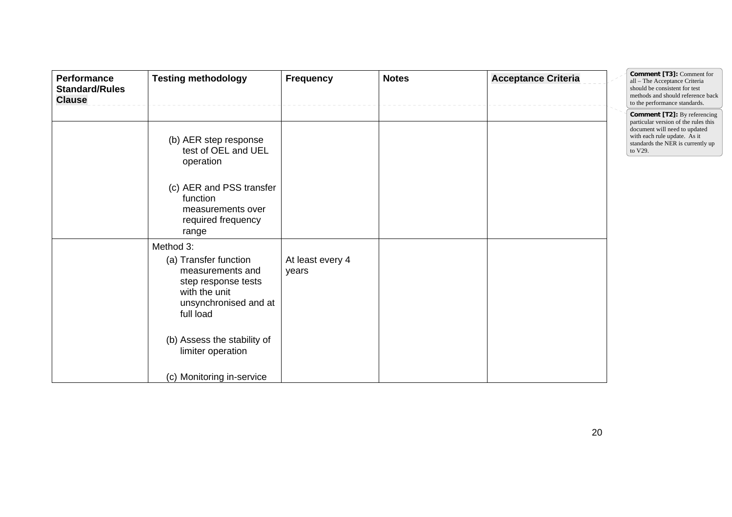| Performance<br><b>Standard/Rules</b><br><b>Clause</b> | <b>Testing methodology</b>                                                                                                                                                                                            | <b>Frequency</b>          | <b>Notes</b> | <b>Acceptance Criteria</b> | Comment [T3]: Comment for<br>all - The Acceptance Criteria<br>should be consistent for test<br>methods and should reference back<br>to the performance standards.                            |
|-------------------------------------------------------|-----------------------------------------------------------------------------------------------------------------------------------------------------------------------------------------------------------------------|---------------------------|--------------|----------------------------|----------------------------------------------------------------------------------------------------------------------------------------------------------------------------------------------|
|                                                       | (b) AER step response<br>test of OEL and UEL<br>operation<br>(c) AER and PSS transfer<br>function<br>measurements over<br>required frequency<br>range                                                                 |                           |              |                            | <b>Comment [T2]:</b> By referencing<br>particular version of the rules this<br>document will need to updated<br>with each rule update. As it<br>standards the NER is currently up<br>to V29. |
|                                                       | Method 3:<br>(a) Transfer function<br>measurements and<br>step response tests<br>with the unit<br>unsynchronised and at<br>full load<br>(b) Assess the stability of<br>limiter operation<br>(c) Monitoring in-service | At least every 4<br>years |              |                            |                                                                                                                                                                                              |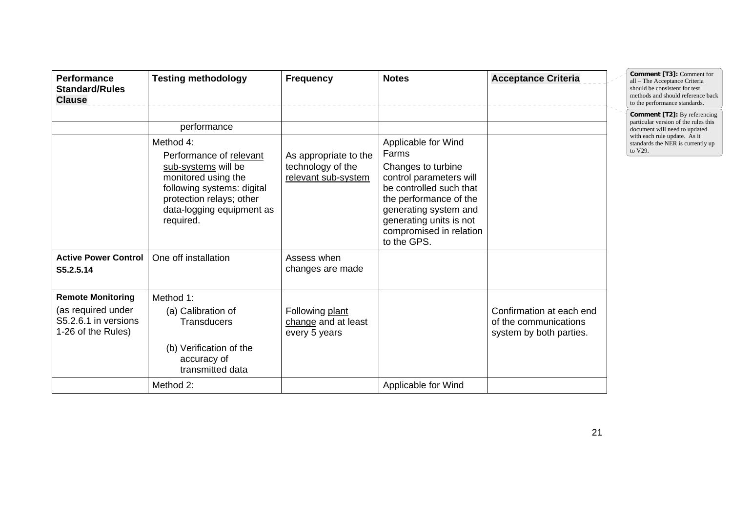| <b>Performance</b><br><b>Standard/Rules</b><br><b>Clause</b>                                 | <b>Testing methodology</b>                                                                                                                                                             | <b>Frequency</b>                                                  | <b>Notes</b>                                                                                                                                                                                                                     | <b>Acceptance Criteria</b>                                                   | Comment [T3]: Comment for<br>all - The Acceptance Criteria<br>should be consistent for test<br>methods and should reference back<br>to the performance standards. |
|----------------------------------------------------------------------------------------------|----------------------------------------------------------------------------------------------------------------------------------------------------------------------------------------|-------------------------------------------------------------------|----------------------------------------------------------------------------------------------------------------------------------------------------------------------------------------------------------------------------------|------------------------------------------------------------------------------|-------------------------------------------------------------------------------------------------------------------------------------------------------------------|
|                                                                                              | performance                                                                                                                                                                            |                                                                   |                                                                                                                                                                                                                                  |                                                                              | <b>Comment [T2]:</b> By referencing<br>particular version of the rules this<br>document will need to updated                                                      |
|                                                                                              | Method 4:<br>Performance of relevant<br>sub-systems will be<br>monitored using the<br>following systems: digital<br>protection relays; other<br>data-logging equipment as<br>required. | As appropriate to the<br>technology of the<br>relevant sub-system | Applicable for Wind<br>Farms<br>Changes to turbine<br>control parameters will<br>be controlled such that<br>the performance of the<br>generating system and<br>generating units is not<br>compromised in relation<br>to the GPS. |                                                                              | with each rule update. As it<br>standards the NER is currently up<br>to V29.                                                                                      |
| <b>Active Power Control</b><br>S5.2.5.14                                                     | One off installation                                                                                                                                                                   | Assess when<br>changes are made                                   |                                                                                                                                                                                                                                  |                                                                              |                                                                                                                                                                   |
| <b>Remote Monitoring</b><br>(as required under<br>S5.2.6.1 in versions<br>1-26 of the Rules) | Method 1:<br>(a) Calibration of<br><b>Transducers</b><br>(b) Verification of the<br>accuracy of<br>transmitted data                                                                    | Following plant<br>change and at least<br>every 5 years           |                                                                                                                                                                                                                                  | Confirmation at each end<br>of the communications<br>system by both parties. |                                                                                                                                                                   |
|                                                                                              | Method 2:                                                                                                                                                                              |                                                                   | Applicable for Wind                                                                                                                                                                                                              |                                                                              |                                                                                                                                                                   |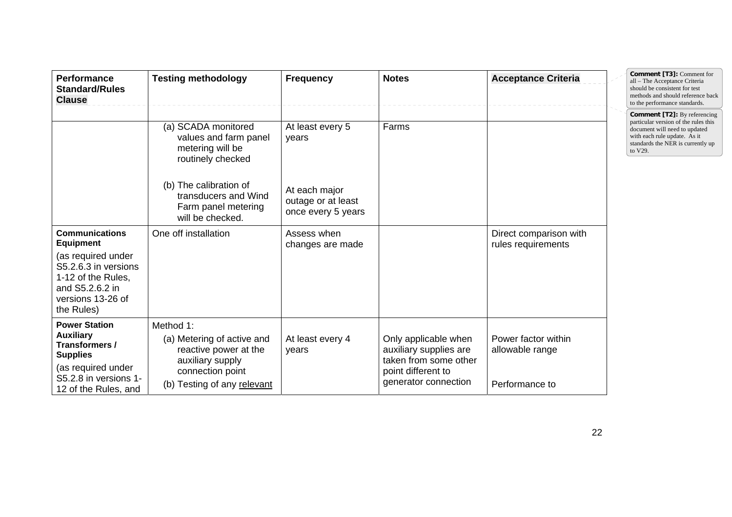| <b>Performance</b><br><b>Standard/Rules</b><br><b>Clause</b>                                                                                                        | <b>Testing methodology</b>                                                                                                              | <b>Frequency</b>                                          | <b>Notes</b>                                                                                                          | <b>Acceptance Criteria</b>                               | Comment [T3]: Comment for<br>all - The Acceptance Criteria<br>should be consistent for test<br>methods and should reference back<br>to the performance standards.                            |
|---------------------------------------------------------------------------------------------------------------------------------------------------------------------|-----------------------------------------------------------------------------------------------------------------------------------------|-----------------------------------------------------------|-----------------------------------------------------------------------------------------------------------------------|----------------------------------------------------------|----------------------------------------------------------------------------------------------------------------------------------------------------------------------------------------------|
|                                                                                                                                                                     | (a) SCADA monitored<br>values and farm panel<br>metering will be<br>routinely checked                                                   | At least every 5<br>years                                 | Farms                                                                                                                 |                                                          | <b>Comment [T2]:</b> By referencing<br>particular version of the rules this<br>document will need to updated<br>with each rule update. As it<br>standards the NER is currently up<br>to V29. |
|                                                                                                                                                                     | (b) The calibration of<br>transducers and Wind<br>Farm panel metering<br>will be checked.                                               | At each major<br>outage or at least<br>once every 5 years |                                                                                                                       |                                                          |                                                                                                                                                                                              |
| <b>Communications</b><br><b>Equipment</b><br>(as required under<br>S5.2.6.3 in versions<br>1-12 of the Rules,<br>and S5.2.6.2 in<br>versions 13-26 of<br>the Rules) | One off installation                                                                                                                    | Assess when<br>changes are made                           |                                                                                                                       | Direct comparison with<br>rules requirements             |                                                                                                                                                                                              |
| <b>Power Station</b><br>Auxiliary<br>Transformers /<br><b>Supplies</b><br>(as required under<br>S5.2.8 in versions 1-<br>12 of the Rules, and                       | Method 1:<br>(a) Metering of active and<br>reactive power at the<br>auxiliary supply<br>connection point<br>(b) Testing of any relevant | At least every 4<br>years                                 | Only applicable when<br>auxiliary supplies are<br>taken from some other<br>point different to<br>generator connection | Power factor within<br>allowable range<br>Performance to |                                                                                                                                                                                              |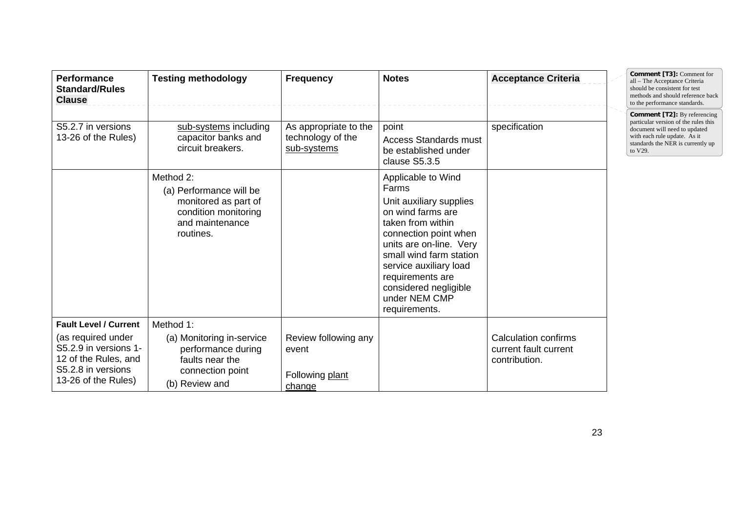| <b>Performance</b><br><b>Standard/Rules</b><br><b>Clause</b>                                                                                     | <b>Testing methodology</b>                                                                                            | <b>Frequency</b>                                           | <b>Notes</b>                                                                                                                                                                                                                                                                             | <b>Acceptance Criteria</b>                                     | Comment [T3]: Comment for<br>all - The Acceptance Criteria<br>should be consistent for test<br>methods and should reference back<br>to the performance standards.                            |
|--------------------------------------------------------------------------------------------------------------------------------------------------|-----------------------------------------------------------------------------------------------------------------------|------------------------------------------------------------|------------------------------------------------------------------------------------------------------------------------------------------------------------------------------------------------------------------------------------------------------------------------------------------|----------------------------------------------------------------|----------------------------------------------------------------------------------------------------------------------------------------------------------------------------------------------|
| S5.2.7 in versions<br>13-26 of the Rules)                                                                                                        | sub-systems including<br>capacitor banks and<br>circuit breakers.                                                     | As appropriate to the<br>technology of the<br>sub-systems  | point<br><b>Access Standards must</b><br>be established under<br>clause S5.3.5                                                                                                                                                                                                           | specification                                                  | <b>Comment [T2]:</b> By referencing<br>particular version of the rules this<br>document will need to updated<br>with each rule update. As it<br>standards the NER is currently up<br>to V29. |
|                                                                                                                                                  | Method 2:<br>(a) Performance will be<br>monitored as part of<br>condition monitoring<br>and maintenance<br>routines.  |                                                            | Applicable to Wind<br>Farms<br>Unit auxiliary supplies<br>on wind farms are<br>taken from within<br>connection point when<br>units are on-line. Very<br>small wind farm station<br>service auxiliary load<br>requirements are<br>considered negligible<br>under NEM CMP<br>requirements. |                                                                |                                                                                                                                                                                              |
| <b>Fault Level / Current</b><br>(as required under<br>S5.2.9 in versions 1-<br>12 of the Rules, and<br>S5.2.8 in versions<br>13-26 of the Rules) | Method 1:<br>(a) Monitoring in-service<br>performance during<br>faults near the<br>connection point<br>(b) Review and | Review following any<br>event<br>Following plant<br>change |                                                                                                                                                                                                                                                                                          | Calculation confirms<br>current fault current<br>contribution. |                                                                                                                                                                                              |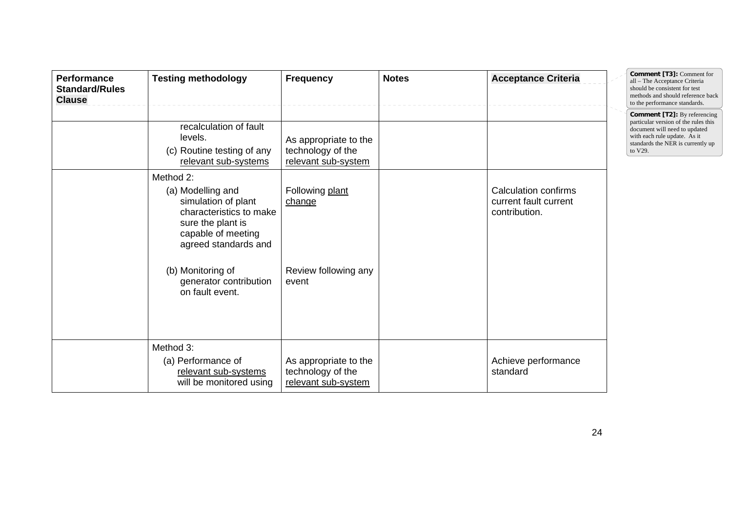| <b>Performance</b><br><b>Standard/Rules</b><br><b>Clause</b> | <b>Testing methodology</b>                                                                                                                                                                                            | <b>Frequency</b>                                                  | <b>Notes</b> | <b>Acceptance Criteria</b>                                     | Comment [T3]: Comment for<br>all - The Acceptance Criteria<br>should be consistent for test<br>methods and should reference back<br>to the performance standards.                            |
|--------------------------------------------------------------|-----------------------------------------------------------------------------------------------------------------------------------------------------------------------------------------------------------------------|-------------------------------------------------------------------|--------------|----------------------------------------------------------------|----------------------------------------------------------------------------------------------------------------------------------------------------------------------------------------------|
|                                                              | recalculation of fault<br>levels.<br>(c) Routine testing of any<br>relevant sub-systems                                                                                                                               | As appropriate to the<br>technology of the<br>relevant sub-system |              |                                                                | <b>Comment [T2]:</b> By referencing<br>particular version of the rules this<br>document will need to updated<br>with each rule update. As it<br>standards the NER is currently up<br>to V29. |
|                                                              | Method 2:<br>(a) Modelling and<br>simulation of plant<br>characteristics to make<br>sure the plant is<br>capable of meeting<br>agreed standards and<br>(b) Monitoring of<br>generator contribution<br>on fault event. | Following plant<br>change<br>Review following any<br>event        |              | Calculation confirms<br>current fault current<br>contribution. |                                                                                                                                                                                              |
|                                                              | Method 3:<br>(a) Performance of<br>relevant sub-systems<br>will be monitored using                                                                                                                                    | As appropriate to the<br>technology of the<br>relevant sub-system |              | Achieve performance<br>standard                                |                                                                                                                                                                                              |